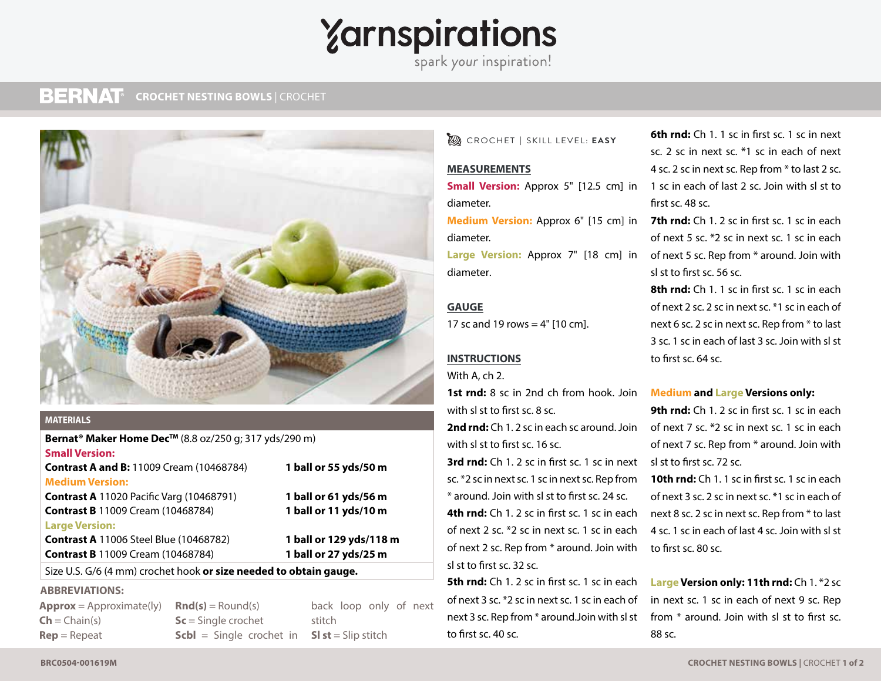# *Yarnspirations*

#### **BERNAT SLIPPER BOOTS** | CROCHET **CROCHET NESTING BOWLS** | CROCHET



### **MATERIALS**

| Bernat <sup>®</sup> Maker Home Dec <sup>™</sup> (8.8 oz/250 g; 317 yds/290 m) |                         |  |
|-------------------------------------------------------------------------------|-------------------------|--|
| <b>Small Version:</b>                                                         |                         |  |
| <b>Contrast A and B: 11009 Cream (10468784)</b>                               | 1 ball or 55 yds/50 m   |  |
| <b>Medium Version:</b>                                                        |                         |  |
| <b>Contrast A 11020 Pacific Varg (10468791)</b>                               | 1 ball or 61 yds/56 m   |  |
| <b>Contrast B</b> 11009 Cream (10468784)                                      | 1 ball or 11 yds/10 m   |  |
| <b>Large Version:</b>                                                         |                         |  |
| <b>Contrast A 11006 Steel Blue (10468782)</b>                                 | 1 ball or 129 yds/118 m |  |
| <b>Contrast B</b> 11009 Cream (10468784)                                      | 1 ball or 27 yds/25 m   |  |
|                                                                               |                         |  |

## Size U.S. G/6 (4 mm) crochet hook **or size needed to obtain gauge.**

#### **ABBREVIATIONS:**

| $Approx = Approximate(ly)$        | $\mathbf{Rnd}(s) = \text{Round}(s)$                        | back loop only of next |
|-----------------------------------|------------------------------------------------------------|------------------------|
| $\mathsf{Ch} = \mathsf{Chain}(s)$ | $Sc =$ Single crochet                                      | stitch                 |
| $\text{Rep} = \text{Repeat}$      | <b>Scbl</b> = Single crochet in <b>SI st</b> = Slip stitch |                        |

# CROCHET **|** SKILL LEVEL: **EASY**

# **MEASUREMENTS**

**Small Version:** Approx 5" [12.5 cm] in 1 sc in each of last 2 sc. Join with sl st to diameter.

diameter.

diameter.

### **GAUGE**

17 sc and 19 rows  $=$  4" [10 cm].

## **INSTRUCTIONS**

With A, ch 2.

**1st rnd:** 8 sc in 2nd ch from hook. Join with sl st to first sc. 8 sc.

**2nd rnd:** Ch 1.2 sc in each sc around. Join of next 7 sc. \*2 sc in next sc. 1 sc in each with sl st to first sc. 16 sc.

3rd rnd: Ch 1. 2 sc in first sc. 1 sc in next sl st to first sc. 72 sc. sc. \*2 sc in next sc. 1 sc in next sc. Rep from \* around. Join with sl st to first sc. 24 sc. **4th rnd:** Ch 1. 2 sc in first sc. 1 sc in each of next 2 sc. \*2 sc in next sc. 1 sc in each of next 2 sc. Rep from \* around. Join with sl st to first sc. 32 sc.

**5th rnd:** Ch 1. 2 sc in first sc. 1 sc in each of next 3 sc. \*2 sc in next sc. 1 sc in each of to first sc. 40 sc.

**6th rnd:** Ch 1. 1 sc in first sc. 1 sc in next sc. 2 sc in next sc. \*1 sc in each of next 4 sc. 2 sc in next sc. Rep from \* to last 2 sc. first sc. 48 sc.

**Medium Version:** Approx 6" [15 cm] in **7th rnd:** Ch 1. 2 sc in first sc. 1 sc in each Large Version: Approx 7" [18 cm] in of next 5 sc. Rep from \* around. Join with of next 5 sc. \*2 sc in next sc. 1 sc in each sl st to first sc. 56 sc.

> **8th rnd:** Ch 1. 1 sc in first sc. 1 sc in each of next 2 sc. 2 sc in next sc. \*1 sc in each of next 6 sc. 2 sc in next sc. Rep from \* to last 3 sc. 1 sc in each of last 3 sc. Join with sl st to first sc. 64 sc.

# **Medium and Large Versions only:**

**9th rnd:** Ch 1. 2 sc in first sc. 1 sc in each of next 7 sc. Rep from \* around. Join with

**10th rnd:** Ch 1. 1 sc in first sc. 1 sc in each of next 3 sc. 2 sc in next sc. \*1 sc in each of next 8 sc. 2 sc in next sc. Rep from \* to last 4 sc. 1 sc in each of last 4 sc. Join with sl st to first sc. 80 sc.

next 3 sc. Rep from \* around.Join with sl st from \* around. Join with sl st to first sc. **Large Version only: 11th rnd:** Ch 1. \*2 sc in next sc. 1 sc in each of next 9 sc. Rep 88 sc.